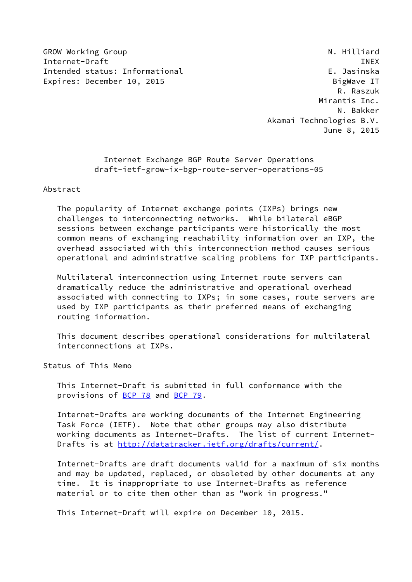GROW Working Group **N. Hilliard** N. Hilliard Internet-Draft **INEX** Intended status: Informational example of the status of the status of the status of the status of the status o Expires: December 10, 2015 BigWave IT

 R. Raszuk Mirantis Inc. N. Bakker Akamai Technologies B.V. June 8, 2015

> Internet Exchange BGP Route Server Operations draft-ietf-grow-ix-bgp-route-server-operations-05

Abstract

 The popularity of Internet exchange points (IXPs) brings new challenges to interconnecting networks. While bilateral eBGP sessions between exchange participants were historically the most common means of exchanging reachability information over an IXP, the overhead associated with this interconnection method causes serious operational and administrative scaling problems for IXP participants.

 Multilateral interconnection using Internet route servers can dramatically reduce the administrative and operational overhead associated with connecting to IXPs; in some cases, route servers are used by IXP participants as their preferred means of exchanging routing information.

 This document describes operational considerations for multilateral interconnections at IXPs.

Status of This Memo

 This Internet-Draft is submitted in full conformance with the provisions of [BCP 78](https://datatracker.ietf.org/doc/pdf/bcp78) and [BCP 79](https://datatracker.ietf.org/doc/pdf/bcp79).

 Internet-Drafts are working documents of the Internet Engineering Task Force (IETF). Note that other groups may also distribute working documents as Internet-Drafts. The list of current Internet Drafts is at<http://datatracker.ietf.org/drafts/current/>.

 Internet-Drafts are draft documents valid for a maximum of six months and may be updated, replaced, or obsoleted by other documents at any time. It is inappropriate to use Internet-Drafts as reference material or to cite them other than as "work in progress."

This Internet-Draft will expire on December 10, 2015.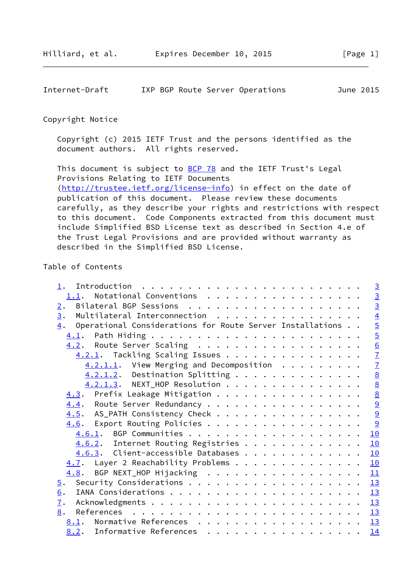# Copyright Notice

 Copyright (c) 2015 IETF Trust and the persons identified as the document authors. All rights reserved.

This document is subject to **[BCP 78](https://datatracker.ietf.org/doc/pdf/bcp78)** and the IETF Trust's Legal Provisions Relating to IETF Documents [\(http://trustee.ietf.org/license-info](http://trustee.ietf.org/license-info)) in effect on the date of publication of this document. Please review these documents carefully, as they describe your rights and restrictions with respect to this document. Code Components extracted from this document must include Simplified BSD License text as described in Section 4.e of the Trust Legal Provisions and are provided without warranty as described in the Simplified BSD License.

# Table of Contents

|                                                                 | $\overline{3}$  |
|-----------------------------------------------------------------|-----------------|
|                                                                 | $\frac{3}{3}$   |
| 2.                                                              |                 |
| Multilateral Interconnection<br>$\overline{3}$ .                | $\overline{4}$  |
| Operational Considerations for Route Server Installations<br>4. | $\overline{5}$  |
|                                                                 | $\overline{5}$  |
| 4.2. Route Server Scaling                                       | $\underline{6}$ |
| 4.2.1. Tackling Scaling Issues                                  | $\overline{1}$  |
| $4.2.1.1.$ View Merging and Decomposition                       | $\overline{1}$  |
| $4.2.1.2$ . Destination Splitting                               | $\underline{8}$ |
| 4.2.1.3. NEXT_HOP Resolution                                    | $\underline{8}$ |
| 4.3. Prefix Leakage Mitigation                                  |                 |
| 4.4. Route Server Redundancy                                    | $\frac{8}{9}$   |
| 4.5. AS_PATH Consistency Check                                  |                 |
| 4.6. Export Routing Policies                                    | 9               |
|                                                                 | 10              |
| 4.6.2. Internet Routing Registries                              | 10              |
| $4.6.3$ . Client-accessible Databases                           | 10              |
| $\overline{4.7}$ . Layer 2 Reachability Problems                | <u> 10</u>      |
| 4.8. BGP NEXT_HOP Hijacking                                     | 11              |
| 5.                                                              |                 |
| 6.                                                              |                 |
| $\overline{1}$ .                                                |                 |
| 8.                                                              |                 |
| 8.1. Normative References 13                                    |                 |
| 8.2. Informative References                                     | 14              |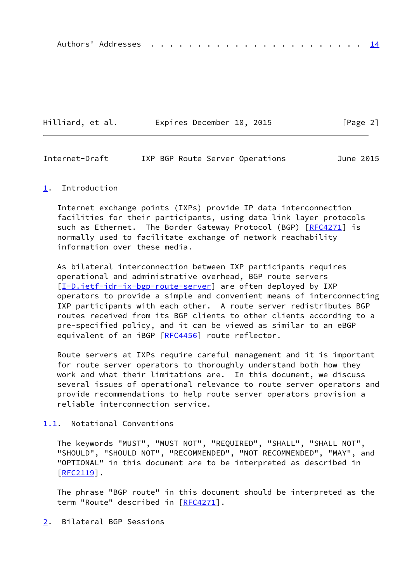|--|--|--|--|--|--|--|--|--|--|--|--|--|--|--|--|--|--|--|--|--|--|--|--|--|--|

| Hilliard, et al. | Expires December 10, 2015 | [Page 2] |
|------------------|---------------------------|----------|
|------------------|---------------------------|----------|

<span id="page-2-1"></span>

| Internet-Draft |  |  |  | IXP BGP Route Server Operations | June 2015 |  |
|----------------|--|--|--|---------------------------------|-----------|--|
|----------------|--|--|--|---------------------------------|-----------|--|

#### <span id="page-2-0"></span>[1](#page-2-0). Introduction

 Internet exchange points (IXPs) provide IP data interconnection facilities for their participants, using data link layer protocols such as Ethernet. The Border Gateway Protocol (BGP) [\[RFC4271](https://datatracker.ietf.org/doc/pdf/rfc4271)] is normally used to facilitate exchange of network reachability information over these media.

 As bilateral interconnection between IXP participants requires operational and administrative overhead, BGP route servers [\[I-D.ietf-idr-ix-bgp-route-server](#page-14-6)] are often deployed by IXP operators to provide a simple and convenient means of interconnecting IXP participants with each other. A route server redistributes BGP routes received from its BGP clients to other clients according to a pre-specified policy, and it can be viewed as similar to an eBGP equivalent of an iBGP [[RFC4456](https://datatracker.ietf.org/doc/pdf/rfc4456)] route reflector.

 Route servers at IXPs require careful management and it is important for route server operators to thoroughly understand both how they work and what their limitations are. In this document, we discuss several issues of operational relevance to route server operators and provide recommendations to help route server operators provision a reliable interconnection service.

## <span id="page-2-2"></span>[1.1](#page-2-2). Notational Conventions

 The keywords "MUST", "MUST NOT", "REQUIRED", "SHALL", "SHALL NOT", "SHOULD", "SHOULD NOT", "RECOMMENDED", "NOT RECOMMENDED", "MAY", and "OPTIONAL" in this document are to be interpreted as described in [\[RFC2119](https://datatracker.ietf.org/doc/pdf/rfc2119)].

 The phrase "BGP route" in this document should be interpreted as the term "Route" described in [[RFC4271](https://datatracker.ietf.org/doc/pdf/rfc4271)].

## <span id="page-2-3"></span>[2](#page-2-3). Bilateral BGP Sessions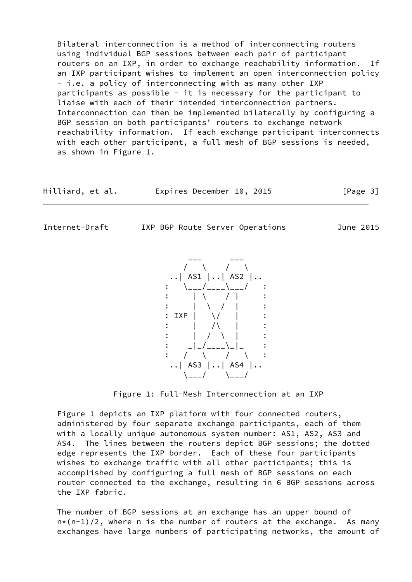Bilateral interconnection is a method of interconnecting routers using individual BGP sessions between each pair of participant routers on an IXP, in order to exchange reachability information. If an IXP participant wishes to implement an open interconnection policy - i.e. a policy of interconnecting with as many other IXP participants as possible - it is necessary for the participant to liaise with each of their intended interconnection partners. Interconnection can then be implemented bilaterally by configuring a BGP session on both participants' routers to exchange network reachability information. If each exchange participant interconnects with each other participant, a full mesh of BGP sessions is needed, as shown in Figure 1.

| Hilliard, et al. | Expires December 10, 2015 |  | [Page 3] |
|------------------|---------------------------|--|----------|
|------------------|---------------------------|--|----------|

<span id="page-3-0"></span>

Internet-Draft IXP BGP Route Server Operations June 2015

 $\cdot$ . | AS1  $\vert \cdot \cdot \vert$  AS2  $\vert \cdot \cdot \vert$ \\_\_\_/\_\_\_\_\\_\_\_/  $\blacksquare$ :  $\blacksquare$   $\blacksquare$  :  $\blacksquare$   $\blacksquare$  :  $\blacksquare$  $\cdots$   $\cdots$   $\cdots$   $\cdots$   $\cdots$   $\cdots$   $\cdots$   $\cdots$   $\cdots$   $\cdots$   $\cdots$   $\cdots$   $\cdots$   $\cdots$   $\cdots$   $\cdots$   $\cdots$   $\cdots$   $\cdots$   $\cdots$   $\cdots$   $\cdots$   $\cdots$   $\cdots$   $\cdots$   $\cdots$   $\cdots$   $\cdots$   $\cdots$   $\cdots$   $\cdots$   $\cdots$   $\cdots$   $\cdots$   $\cdots$   $\cdots$   $\cdots$  : IXP | \/ | :  $\mathbf{z} = \begin{pmatrix} 1 & 1 & 1 \\ 1 & 1 & 1 \end{pmatrix}$  $\mathbf{z} = \begin{bmatrix} 1 & 1 & 1 \\ 1 & 1 & 1 \end{bmatrix}$  : \_|\_/\_\_\_\_\\_|\_ :  $\prime$  \  $\prime$  \ \  $\prime$  $\left| . . \right|$  AS3  $\left| . . \right|$  AS4  $\left| . . \right|$  $\setminus$ \_\_\_/  $\setminus$ \_\_\_/

Figure 1: Full-Mesh Interconnection at an IXP

 Figure 1 depicts an IXP platform with four connected routers, administered by four separate exchange participants, each of them with a locally unique autonomous system number: AS1, AS2, AS3 and AS4. The lines between the routers depict BGP sessions; the dotted edge represents the IXP border. Each of these four participants wishes to exchange traffic with all other participants; this is accomplished by configuring a full mesh of BGP sessions on each router connected to the exchange, resulting in 6 BGP sessions across the IXP fabric.

 The number of BGP sessions at an exchange has an upper bound of  $n*(n-1)/2$ , where n is the number of routers at the exchange. As many exchanges have large numbers of participating networks, the amount of

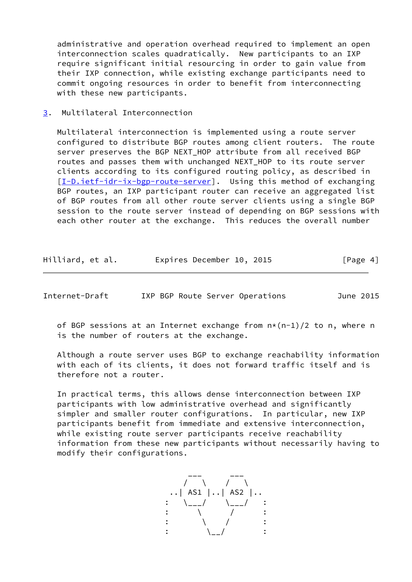administrative and operation overhead required to implement an open interconnection scales quadratically. New participants to an IXP require significant initial resourcing in order to gain value from their IXP connection, while existing exchange participants need to commit ongoing resources in order to benefit from interconnecting with these new participants.

<span id="page-4-0"></span>[3](#page-4-0). Multilateral Interconnection

 Multilateral interconnection is implemented using a route server configured to distribute BGP routes among client routers. The route server preserves the BGP NEXT\_HOP attribute from all received BGP routes and passes them with unchanged NEXT\_HOP to its route server clients according to its configured routing policy, as described in [\[I-D.ietf-idr-ix-bgp-route-server](#page-14-6)]. Using this method of exchanging BGP routes, an IXP participant router can receive an aggregated list of BGP routes from all other route server clients using a single BGP session to the route server instead of depending on BGP sessions with each other router at the exchange. This reduces the overall number

| Hilliard, et al. | Expires December 10, 2015 |  | [Page 4] |
|------------------|---------------------------|--|----------|
|------------------|---------------------------|--|----------|

<span id="page-4-1"></span>Internet-Draft IXP BGP Route Server Operations June 2015

of BGP sessions at an Internet exchange from  $n*(n-1)/2$  to n, where n is the number of routers at the exchange.

 Although a route server uses BGP to exchange reachability information with each of its clients, it does not forward traffic itself and is therefore not a router.

 In practical terms, this allows dense interconnection between IXP participants with low administrative overhead and significantly simpler and smaller router configurations. In particular, new IXP participants benefit from immediate and extensive interconnection, while existing route server participants receive reachability information from these new participants without necessarily having to modify their configurations.

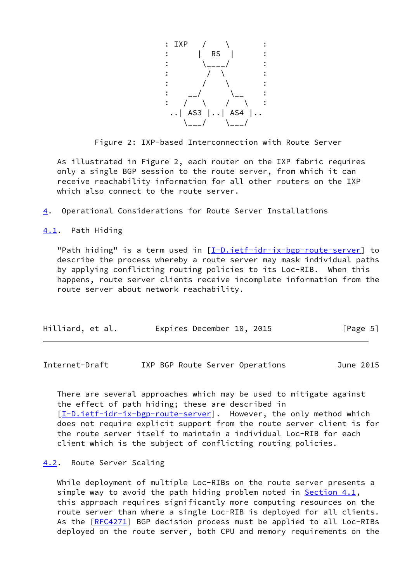

Figure 2: IXP-based Interconnection with Route Server

 As illustrated in Figure 2, each router on the IXP fabric requires only a single BGP session to the route server, from which it can receive reachability information for all other routers on the IXP which also connect to the route server.

<span id="page-5-0"></span>[4](#page-5-0). Operational Considerations for Route Server Installations

<span id="page-5-1"></span>[4.1](#page-5-1). Path Hiding

"Path hiding" is a term used in [\[I-D.ietf-idr-ix-bgp-route-server](#page-14-6)] to describe the process whereby a route server may mask individual paths by applying conflicting routing policies to its Loc-RIB. When this happens, route server clients receive incomplete information from the route server about network reachability.

| Hilliard, et al. | Expires December 10, 2015 | [Page 5] |
|------------------|---------------------------|----------|
|------------------|---------------------------|----------|

<span id="page-5-3"></span>Internet-Draft IXP BGP Route Server Operations June 2015

 There are several approaches which may be used to mitigate against the effect of path hiding; these are described in [\[I-D.ietf-idr-ix-bgp-route-server](#page-14-6)]. However, the only method which does not require explicit support from the route server client is for the route server itself to maintain a individual Loc-RIB for each client which is the subject of conflicting routing policies.

## <span id="page-5-2"></span>[4.2](#page-5-2). Route Server Scaling

 While deployment of multiple Loc-RIBs on the route server presents a simple way to avoid the path hiding problem noted in Section  $4.1$ , this approach requires significantly more computing resources on the route server than where a single Loc-RIB is deployed for all clients. As the [\[RFC4271](https://datatracker.ietf.org/doc/pdf/rfc4271)] BGP decision process must be applied to all Loc-RIBs deployed on the route server, both CPU and memory requirements on the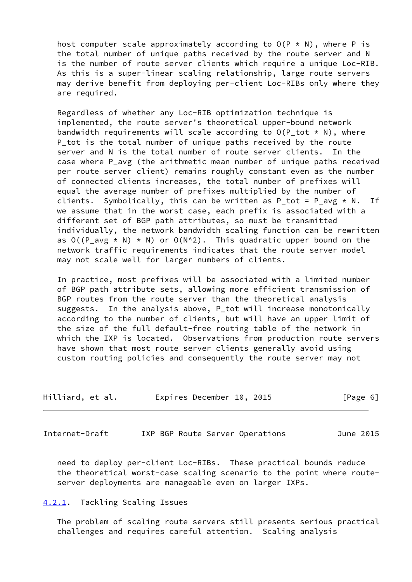host computer scale approximately according to  $O(P \times N)$ , where P is the total number of unique paths received by the route server and N is the number of route server clients which require a unique Loc-RIB. As this is a super-linear scaling relationship, large route servers may derive benefit from deploying per-client Loc-RIBs only where they are required.

 Regardless of whether any Loc-RIB optimization technique is implemented, the route server's theoretical upper-bound network bandwidth requirements will scale according to  $O(P_1 \text{ tot } \star N)$ , where P\_tot is the total number of unique paths received by the route server and N is the total number of route server clients. In the case where P avg (the arithmetic mean number of unique paths received per route server client) remains roughly constant even as the number of connected clients increases, the total number of prefixes will equal the average number of prefixes multiplied by the number of clients. Symbolically, this can be written as P tot = P avg  $* N$ . If we assume that in the worst case, each prefix is associated with a different set of BGP path attributes, so must be transmitted individually, the network bandwidth scaling function can be rewritten as  $O((P_avg * N) * N)$  or  $O(N^2)$ . This quadratic upper bound on the network traffic requirements indicates that the route server model may not scale well for larger numbers of clients.

 In practice, most prefixes will be associated with a limited number of BGP path attribute sets, allowing more efficient transmission of BGP routes from the route server than the theoretical analysis suggests. In the analysis above, P\_tot will increase monotonically according to the number of clients, but will have an upper limit of the size of the full default-free routing table of the network in which the IXP is located. Observations from production route servers have shown that most route server clients generally avoid using custom routing policies and consequently the route server may not

| Hilliard, et al. | Expires December 10, 2015 | [Page 6] |
|------------------|---------------------------|----------|
|------------------|---------------------------|----------|

<span id="page-6-1"></span>Internet-Draft IXP BGP Route Server Operations June 2015

 need to deploy per-client Loc-RIBs. These practical bounds reduce the theoretical worst-case scaling scenario to the point where route server deployments are manageable even on larger IXPs.

### <span id="page-6-0"></span>[4.2.1](#page-6-0). Tackling Scaling Issues

 The problem of scaling route servers still presents serious practical challenges and requires careful attention. Scaling analysis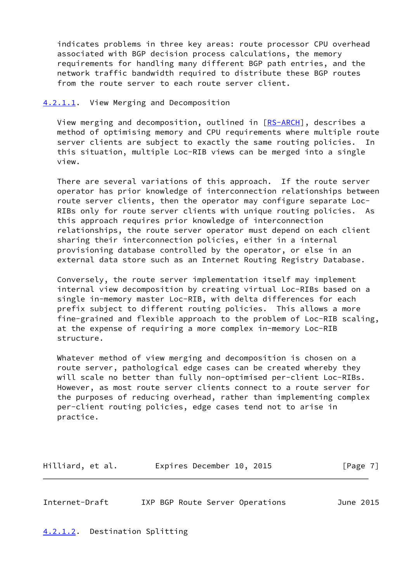indicates problems in three key areas: route processor CPU overhead associated with BGP decision process calculations, the memory requirements for handling many different BGP path entries, and the network traffic bandwidth required to distribute these BGP routes from the route server to each route server client.

### <span id="page-7-0"></span>[4.2.1.1](#page-7-0). View Merging and Decomposition

View merging and decomposition, outlined in [\[RS-ARCH](#page-15-0)], describes a method of optimising memory and CPU requirements where multiple route server clients are subject to exactly the same routing policies. In this situation, multiple Loc-RIB views can be merged into a single view.

 There are several variations of this approach. If the route server operator has prior knowledge of interconnection relationships between route server clients, then the operator may configure separate Loc- RIBs only for route server clients with unique routing policies. As this approach requires prior knowledge of interconnection relationships, the route server operator must depend on each client sharing their interconnection policies, either in a internal provisioning database controlled by the operator, or else in an external data store such as an Internet Routing Registry Database.

 Conversely, the route server implementation itself may implement internal view decomposition by creating virtual Loc-RIBs based on a single in-memory master Loc-RIB, with delta differences for each prefix subject to different routing policies. This allows a more fine-grained and flexible approach to the problem of Loc-RIB scaling, at the expense of requiring a more complex in-memory Loc-RIB structure.

 Whatever method of view merging and decomposition is chosen on a route server, pathological edge cases can be created whereby they will scale no better than fully non-optimised per-client Loc-RIBs. However, as most route server clients connect to a route server for the purposes of reducing overhead, rather than implementing complex per-client routing policies, edge cases tend not to arise in practice.

Hilliard, et al. **Expires December 10, 2015** [Page 7]

<span id="page-7-2"></span>Internet-Draft IXP BGP Route Server Operations June 2015

<span id="page-7-1"></span>[4.2.1.2](#page-7-1). Destination Splitting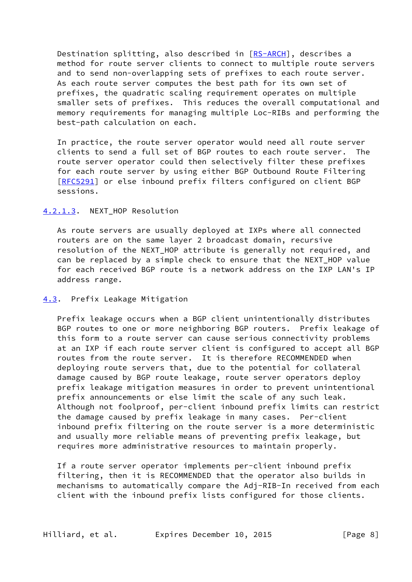Destination splitting, also described in [\[RS-ARCH](#page-15-0)], describes a method for route server clients to connect to multiple route servers and to send non-overlapping sets of prefixes to each route server. As each route server computes the best path for its own set of prefixes, the quadratic scaling requirement operates on multiple smaller sets of prefixes. This reduces the overall computational and memory requirements for managing multiple Loc-RIBs and performing the best-path calculation on each.

 In practice, the route server operator would need all route server clients to send a full set of BGP routes to each route server. The route server operator could then selectively filter these prefixes for each route server by using either BGP Outbound Route Filtering [\[RFC5291](https://datatracker.ietf.org/doc/pdf/rfc5291)] or else inbound prefix filters configured on client BGP sessions.

### <span id="page-8-0"></span>[4.2.1.3](#page-8-0). NEXT\_HOP Resolution

 As route servers are usually deployed at IXPs where all connected routers are on the same layer 2 broadcast domain, recursive resolution of the NEXT\_HOP attribute is generally not required, and can be replaced by a simple check to ensure that the NEXT HOP value for each received BGP route is a network address on the IXP LAN's IP address range.

#### <span id="page-8-1"></span>[4.3](#page-8-1). Prefix Leakage Mitigation

 Prefix leakage occurs when a BGP client unintentionally distributes BGP routes to one or more neighboring BGP routers. Prefix leakage of this form to a route server can cause serious connectivity problems at an IXP if each route server client is configured to accept all BGP routes from the route server. It is therefore RECOMMENDED when deploying route servers that, due to the potential for collateral damage caused by BGP route leakage, route server operators deploy prefix leakage mitigation measures in order to prevent unintentional prefix announcements or else limit the scale of any such leak. Although not foolproof, per-client inbound prefix limits can restrict the damage caused by prefix leakage in many cases. Per-client inbound prefix filtering on the route server is a more deterministic and usually more reliable means of preventing prefix leakage, but requires more administrative resources to maintain properly.

 If a route server operator implements per-client inbound prefix filtering, then it is RECOMMENDED that the operator also builds in mechanisms to automatically compare the Adj-RIB-In received from each client with the inbound prefix lists configured for those clients.

Hilliard, et al. Expires December 10, 2015 [Page 8]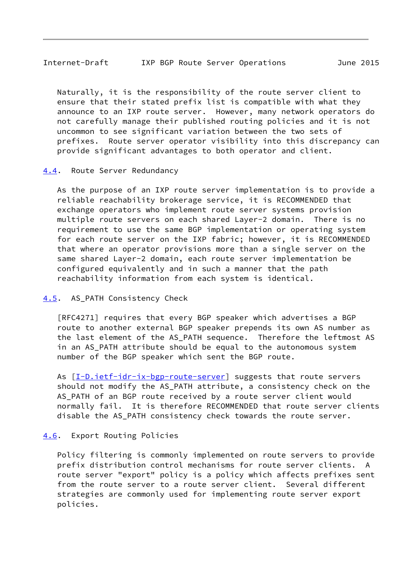## <span id="page-9-1"></span>Internet-Draft IXP BGP Route Server Operations June 2015

 Naturally, it is the responsibility of the route server client to ensure that their stated prefix list is compatible with what they announce to an IXP route server. However, many network operators do not carefully manage their published routing policies and it is not uncommon to see significant variation between the two sets of prefixes. Route server operator visibility into this discrepancy can provide significant advantages to both operator and client.

## <span id="page-9-0"></span>[4.4](#page-9-0). Route Server Redundancy

 As the purpose of an IXP route server implementation is to provide a reliable reachability brokerage service, it is RECOMMENDED that exchange operators who implement route server systems provision multiple route servers on each shared Layer-2 domain. There is no requirement to use the same BGP implementation or operating system for each route server on the IXP fabric; however, it is RECOMMENDED that where an operator provisions more than a single server on the same shared Layer-2 domain, each route server implementation be configured equivalently and in such a manner that the path reachability information from each system is identical.

# <span id="page-9-2"></span>[4.5](#page-9-2). AS PATH Consistency Check

 [RFC4271] requires that every BGP speaker which advertises a BGP route to another external BGP speaker prepends its own AS number as the last element of the AS\_PATH sequence. Therefore the leftmost AS in an AS\_PATH attribute should be equal to the autonomous system number of the BGP speaker which sent the BGP route.

As  $[I-D.iett-idr-ix-bgp-route-server]$  suggests that route servers should not modify the AS\_PATH attribute, a consistency check on the AS\_PATH of an BGP route received by a route server client would normally fail. It is therefore RECOMMENDED that route server clients disable the AS\_PATH consistency check towards the route server.

# <span id="page-9-3"></span>[4.6](#page-9-3). Export Routing Policies

 Policy filtering is commonly implemented on route servers to provide prefix distribution control mechanisms for route server clients. A route server "export" policy is a policy which affects prefixes sent from the route server to a route server client. Several different strategies are commonly used for implementing route server export policies.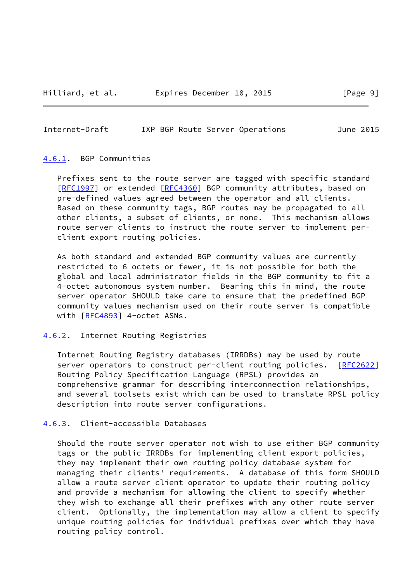<span id="page-10-1"></span>Internet-Draft IXP BGP Route Server Operations June 2015

#### <span id="page-10-0"></span>[4.6.1](#page-10-0). BGP Communities

 Prefixes sent to the route server are tagged with specific standard [\[RFC1997](https://datatracker.ietf.org/doc/pdf/rfc1997)] or extended [[RFC4360](https://datatracker.ietf.org/doc/pdf/rfc4360)] BGP community attributes, based on pre-defined values agreed between the operator and all clients. Based on these community tags, BGP routes may be propagated to all other clients, a subset of clients, or none. This mechanism allows route server clients to instruct the route server to implement per client export routing policies.

 As both standard and extended BGP community values are currently restricted to 6 octets or fewer, it is not possible for both the global and local administrator fields in the BGP community to fit a 4-octet autonomous system number. Bearing this in mind, the route server operator SHOULD take care to ensure that the predefined BGP community values mechanism used on their route server is compatible with [\[RFC4893](https://datatracker.ietf.org/doc/pdf/rfc4893)] 4-octet ASNs.

#### <span id="page-10-2"></span>[4.6.2](#page-10-2). Internet Routing Registries

 Internet Routing Registry databases (IRRDBs) may be used by route server operators to construct per-client routing policies. [\[RFC2622](https://datatracker.ietf.org/doc/pdf/rfc2622)] Routing Policy Specification Language (RPSL) provides an comprehensive grammar for describing interconnection relationships, and several toolsets exist which can be used to translate RPSL policy description into route server configurations.

## <span id="page-10-3"></span>[4.6.3](#page-10-3). Client-accessible Databases

 Should the route server operator not wish to use either BGP community tags or the public IRRDBs for implementing client export policies, they may implement their own routing policy database system for managing their clients' requirements. A database of this form SHOULD allow a route server client operator to update their routing policy and provide a mechanism for allowing the client to specify whether they wish to exchange all their prefixes with any other route server client. Optionally, the implementation may allow a client to specify unique routing policies for individual prefixes over which they have routing policy control.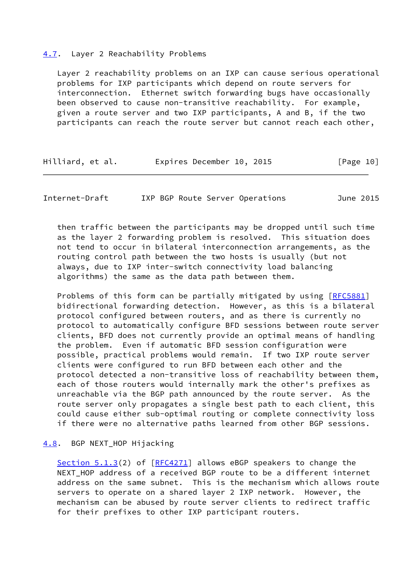#### <span id="page-11-0"></span>[4.7](#page-11-0). Layer 2 Reachability Problems

 Layer 2 reachability problems on an IXP can cause serious operational problems for IXP participants which depend on route servers for interconnection. Ethernet switch forwarding bugs have occasionally been observed to cause non-transitive reachability. For example, given a route server and two IXP participants, A and B, if the two participants can reach the route server but cannot reach each other,

| Hilliard, et al. | Expires December 10, 2015 |  | [Page 10] |
|------------------|---------------------------|--|-----------|
|------------------|---------------------------|--|-----------|

<span id="page-11-2"></span>Internet-Draft IXP BGP Route Server Operations June 2015

 then traffic between the participants may be dropped until such time as the layer 2 forwarding problem is resolved. This situation does not tend to occur in bilateral interconnection arrangements, as the routing control path between the two hosts is usually (but not always, due to IXP inter-switch connectivity load balancing algorithms) the same as the data path between them.

 Problems of this form can be partially mitigated by using [[RFC5881](https://datatracker.ietf.org/doc/pdf/rfc5881)] bidirectional forwarding detection. However, as this is a bilateral protocol configured between routers, and as there is currently no protocol to automatically configure BFD sessions between route server clients, BFD does not currently provide an optimal means of handling the problem. Even if automatic BFD session configuration were possible, practical problems would remain. If two IXP route server clients were configured to run BFD between each other and the protocol detected a non-transitive loss of reachability between them, each of those routers would internally mark the other's prefixes as unreachable via the BGP path announced by the route server. As the route server only propagates a single best path to each client, this could cause either sub-optimal routing or complete connectivity loss if there were no alternative paths learned from other BGP sessions.

## <span id="page-11-1"></span>[4.8](#page-11-1). BGP NEXT\_HOP Hijacking

 Section 5.1.3(2) of [\[RFC4271](https://datatracker.ietf.org/doc/pdf/rfc4271)] allows eBGP speakers to change the NEXT\_HOP address of a received BGP route to be a different internet address on the same subnet. This is the mechanism which allows route servers to operate on a shared layer 2 IXP network. However, the mechanism can be abused by route server clients to redirect traffic for their prefixes to other IXP participant routers.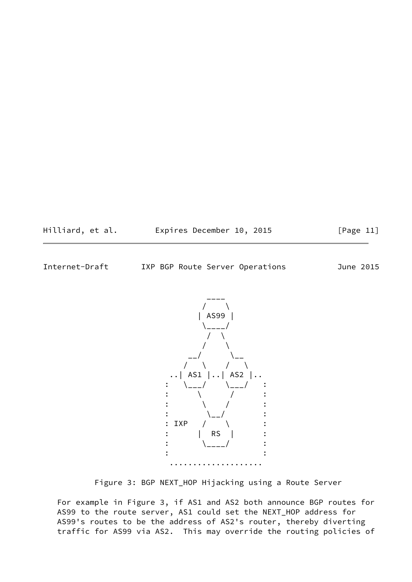Hilliard, et al. **Expires December 10, 2015** [Page 11]

Internet-Draft IXP BGP Route Server Operations June 2015



Figure 3: BGP NEXT\_HOP Hijacking using a Route Server

 For example in Figure 3, if AS1 and AS2 both announce BGP routes for AS99 to the route server, AS1 could set the NEXT\_HOP address for AS99's routes to be the address of AS2's router, thereby diverting traffic for AS99 via AS2. This may override the routing policies of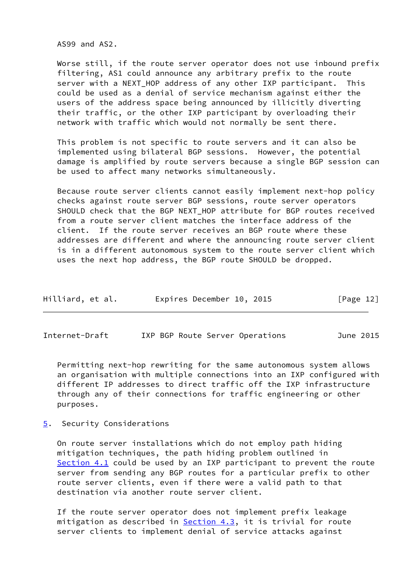AS99 and AS2.

 Worse still, if the route server operator does not use inbound prefix filtering, AS1 could announce any arbitrary prefix to the route server with a NEXT HOP address of any other IXP participant. This could be used as a denial of service mechanism against either the users of the address space being announced by illicitly diverting their traffic, or the other IXP participant by overloading their network with traffic which would not normally be sent there.

 This problem is not specific to route servers and it can also be implemented using bilateral BGP sessions. However, the potential damage is amplified by route servers because a single BGP session can be used to affect many networks simultaneously.

 Because route server clients cannot easily implement next-hop policy checks against route server BGP sessions, route server operators SHOULD check that the BGP NEXT\_HOP attribute for BGP routes received from a route server client matches the interface address of the client. If the route server receives an BGP route where these addresses are different and where the announcing route server client is in a different autonomous system to the route server client which uses the next hop address, the BGP route SHOULD be dropped.

| Hilliard, et al. | Expires December 10, 2015 |  | [Page 12] |
|------------------|---------------------------|--|-----------|
|------------------|---------------------------|--|-----------|

<span id="page-13-1"></span>Internet-Draft IXP BGP Route Server Operations June 2015

 Permitting next-hop rewriting for the same autonomous system allows an organisation with multiple connections into an IXP configured with different IP addresses to direct traffic off the IXP infrastructure through any of their connections for traffic engineering or other purposes.

<span id="page-13-0"></span>[5](#page-13-0). Security Considerations

 On route server installations which do not employ path hiding mitigation techniques, the path hiding problem outlined in [Section 4.1](#page-5-1) could be used by an IXP participant to prevent the route server from sending any BGP routes for a particular prefix to other route server clients, even if there were a valid path to that destination via another route server client.

 If the route server operator does not implement prefix leakage mitigation as described in  $Section 4.3$ , it is trivial for route server clients to implement denial of service attacks against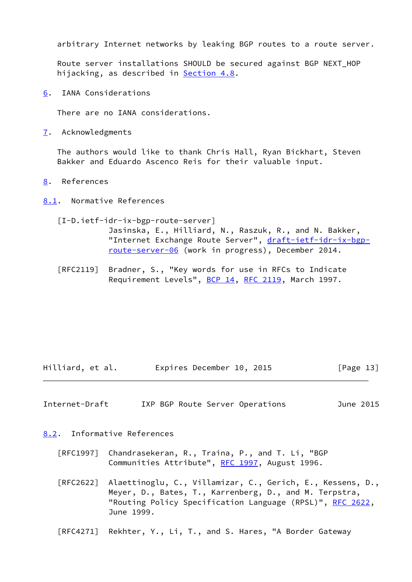arbitrary Internet networks by leaking BGP routes to a route server.

 Route server installations SHOULD be secured against BGP NEXT\_HOP hijacking, as described in **[Section 4.8](#page-11-1)**.

<span id="page-14-0"></span>[6](#page-14-0). IANA Considerations

There are no IANA considerations.

<span id="page-14-1"></span>[7](#page-14-1). Acknowledgments

 The authors would like to thank Chris Hall, Ryan Bickhart, Steven Bakker and Eduardo Ascenco Reis for their valuable input.

<span id="page-14-2"></span>[8](#page-14-2). References

<span id="page-14-3"></span>[8.1](#page-14-3). Normative References

<span id="page-14-6"></span> [I-D.ietf-idr-ix-bgp-route-server] Jasinska, E., Hilliard, N., Raszuk, R., and N. Bakker, "Internet Exchange Route Server", [draft-ietf-idr-ix-bgp](https://datatracker.ietf.org/doc/pdf/draft-ietf-idr-ix-bgp-route-server-06) [route-server-06](https://datatracker.ietf.org/doc/pdf/draft-ietf-idr-ix-bgp-route-server-06) (work in progress), December 2014.

 [RFC2119] Bradner, S., "Key words for use in RFCs to Indicate Requirement Levels", [BCP 14](https://datatracker.ietf.org/doc/pdf/bcp14), [RFC 2119](https://datatracker.ietf.org/doc/pdf/rfc2119), March 1997.

Hilliard, et al. Expires December 10, 2015 [Page 13]

<span id="page-14-5"></span>Internet-Draft IXP BGP Route Server Operations June 2015

<span id="page-14-4"></span>[8.2](#page-14-4). Informative References

- [RFC1997] Chandrasekeran, R., Traina, P., and T. Li, "BGP Communities Attribute", [RFC 1997,](https://datatracker.ietf.org/doc/pdf/rfc1997) August 1996.
- [RFC2622] Alaettinoglu, C., Villamizar, C., Gerich, E., Kessens, D., Meyer, D., Bates, T., Karrenberg, D., and M. Terpstra, "Routing Policy Specification Language (RPSL)", [RFC 2622,](https://datatracker.ietf.org/doc/pdf/rfc2622) June 1999.
- [RFC4271] Rekhter, Y., Li, T., and S. Hares, "A Border Gateway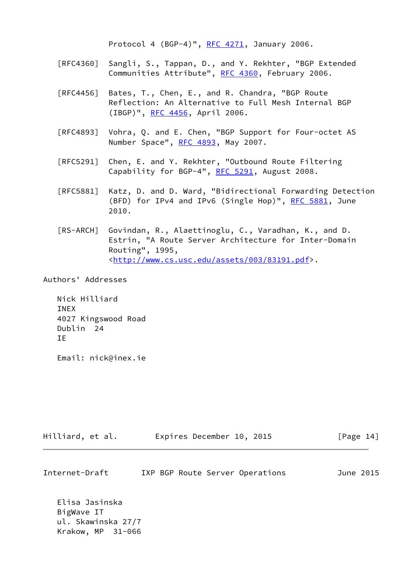Protocol 4 (BGP-4)", [RFC 4271](https://datatracker.ietf.org/doc/pdf/rfc4271), January 2006.

- [RFC4360] Sangli, S., Tappan, D., and Y. Rekhter, "BGP Extended Communities Attribute", [RFC 4360,](https://datatracker.ietf.org/doc/pdf/rfc4360) February 2006.
- [RFC4456] Bates, T., Chen, E., and R. Chandra, "BGP Route Reflection: An Alternative to Full Mesh Internal BGP (IBGP)", [RFC 4456,](https://datatracker.ietf.org/doc/pdf/rfc4456) April 2006.
- [RFC4893] Vohra, Q. and E. Chen, "BGP Support for Four-octet AS Number Space", [RFC 4893](https://datatracker.ietf.org/doc/pdf/rfc4893), May 2007.
- [RFC5291] Chen, E. and Y. Rekhter, "Outbound Route Filtering Capability for BGP-4", [RFC 5291](https://datatracker.ietf.org/doc/pdf/rfc5291), August 2008.
- [RFC5881] Katz, D. and D. Ward, "Bidirectional Forwarding Detection (BFD) for IPv4 and IPv6 (Single Hop)", [RFC 5881](https://datatracker.ietf.org/doc/pdf/rfc5881), June 2010.
- <span id="page-15-0"></span> [RS-ARCH] Govindan, R., Alaettinoglu, C., Varadhan, K., and D. Estrin, "A Route Server Architecture for Inter-Domain Routing", 1995, <[http://www.cs.usc.edu/assets/003/83191.pdf>](http://www.cs.usc.edu/assets/003/83191.pdf).

Authors' Addresses

 Nick Hilliard INEX 4027 Kingswood Road Dublin 24 IE

Email: nick@inex.ie

| Hilliard, et al. | Expires December 10, 2015 | [Page 14] |
|------------------|---------------------------|-----------|
|------------------|---------------------------|-----------|

| Internet-Draft |  |  |  | IXP BGP Route Server Operations | June 2015 |  |
|----------------|--|--|--|---------------------------------|-----------|--|
|----------------|--|--|--|---------------------------------|-----------|--|

 Elisa Jasinska BigWave IT ul. Skawinska 27/7 Krakow, MP 31-066